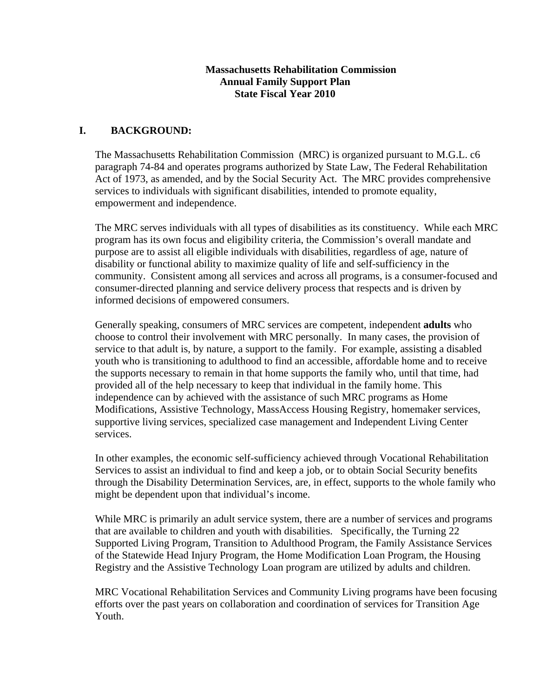#### **Massachusetts Rehabilitation Commission Annual Family Support Plan State Fiscal Year 2010**

## **I. BACKGROUND:**

The Massachusetts Rehabilitation Commission (MRC) is organized pursuant to M.G.L. c6 paragraph 74-84 and operates programs authorized by State Law, The Federal Rehabilitation Act of 1973, as amended, and by the Social Security Act. The MRC provides comprehensive services to individuals with significant disabilities, intended to promote equality, empowerment and independence.

The MRC serves individuals with all types of disabilities as its constituency. While each MRC program has its own focus and eligibility criteria, the Commission's overall mandate and purpose are to assist all eligible individuals with disabilities, regardless of age, nature of disability or functional ability to maximize quality of life and self-sufficiency in the community. Consistent among all services and across all programs, is a consumer-focused and consumer-directed planning and service delivery process that respects and is driven by informed decisions of empowered consumers.

Generally speaking, consumers of MRC services are competent, independent **adults** who choose to control their involvement with MRC personally. In many cases, the provision of service to that adult is, by nature, a support to the family. For example, assisting a disabled youth who is transitioning to adulthood to find an accessible, affordable home and to receive the supports necessary to remain in that home supports the family who, until that time, had provided all of the help necessary to keep that individual in the family home. This independence can by achieved with the assistance of such MRC programs as Home Modifications, Assistive Technology, MassAccess Housing Registry, homemaker services, supportive living services, specialized case management and Independent Living Center services.

In other examples, the economic self-sufficiency achieved through Vocational Rehabilitation Services to assist an individual to find and keep a job, or to obtain Social Security benefits through the Disability Determination Services, are, in effect, supports to the whole family who might be dependent upon that individual's income.

While MRC is primarily an adult service system, there are a number of services and programs that are available to children and youth with disabilities. Specifically, the Turning 22 Supported Living Program, Transition to Adulthood Program, the Family Assistance Services of the Statewide Head Injury Program, the Home Modification Loan Program, the Housing Registry and the Assistive Technology Loan program are utilized by adults and children.

MRC Vocational Rehabilitation Services and Community Living programs have been focusing efforts over the past years on collaboration and coordination of services for Transition Age Youth.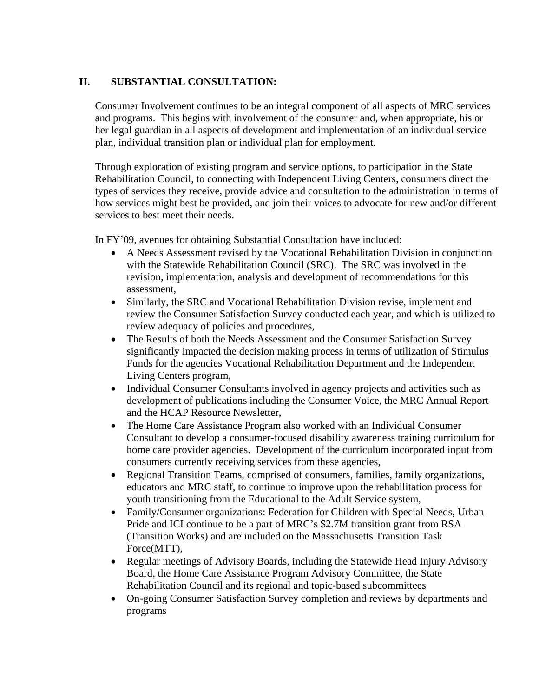# **II. SUBSTANTIAL CONSULTATION:**

Consumer Involvement continues to be an integral component of all aspects of MRC services and programs. This begins with involvement of the consumer and, when appropriate, his or her legal guardian in all aspects of development and implementation of an individual service plan, individual transition plan or individual plan for employment.

Through exploration of existing program and service options, to participation in the State Rehabilitation Council, to connecting with Independent Living Centers, consumers direct the types of services they receive, provide advice and consultation to the administration in terms of how services might best be provided, and join their voices to advocate for new and/or different services to best meet their needs.

In FY'09, avenues for obtaining Substantial Consultation have included:

- A Needs Assessment revised by the Vocational Rehabilitation Division in conjunction with the Statewide Rehabilitation Council (SRC). The SRC was involved in the revision, implementation, analysis and development of recommendations for this assessment,
- Similarly, the SRC and Vocational Rehabilitation Division revise, implement and review the Consumer Satisfaction Survey conducted each year, and which is utilized to review adequacy of policies and procedures,
- The Results of both the Needs Assessment and the Consumer Satisfaction Survey significantly impacted the decision making process in terms of utilization of Stimulus Funds for the agencies Vocational Rehabilitation Department and the Independent Living Centers program,
- Individual Consumer Consultants involved in agency projects and activities such as development of publications including the Consumer Voice, the MRC Annual Report and the HCAP Resource Newsletter,
- The Home Care Assistance Program also worked with an Individual Consumer Consultant to develop a consumer-focused disability awareness training curriculum for home care provider agencies. Development of the curriculum incorporated input from consumers currently receiving services from these agencies,
- Regional Transition Teams, comprised of consumers, families, family organizations, educators and MRC staff, to continue to improve upon the rehabilitation process for youth transitioning from the Educational to the Adult Service system,
- Family/Consumer organizations: Federation for Children with Special Needs, Urban Pride and ICI continue to be a part of MRC's \$2.7M transition grant from RSA (Transition Works) and are included on the Massachusetts Transition Task Force(MTT),
- Regular meetings of Advisory Boards, including the Statewide Head Injury Advisory Board, the Home Care Assistance Program Advisory Committee, the State Rehabilitation Council and its regional and topic-based subcommittees
- On-going Consumer Satisfaction Survey completion and reviews by departments and programs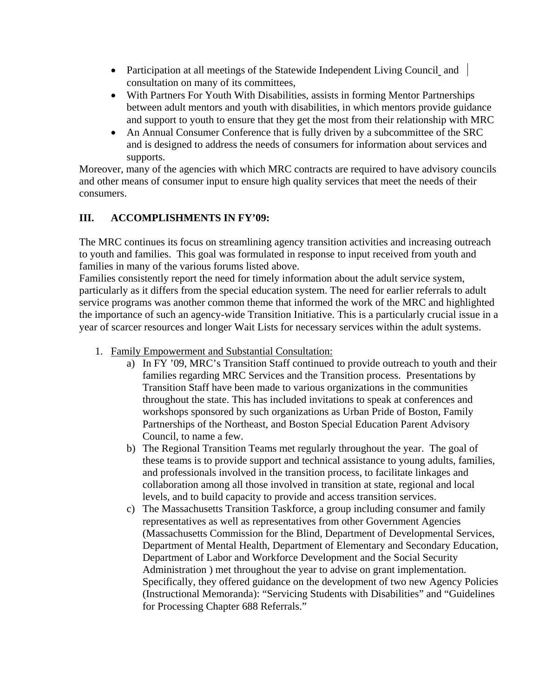- Participation at all meetings of the Statewide Independent Living Council and consultation on many of its committees,
- With Partners For Youth With Disabilities, assists in forming Mentor Partnerships between adult mentors and youth with disabilities, in which mentors provide guidance and support to youth to ensure that they get the most from their relationship with MRC
- An Annual Consumer Conference that is fully driven by a subcommittee of the SRC and is designed to address the needs of consumers for information about services and supports.

Moreover, many of the agencies with which MRC contracts are required to have advisory councils and other means of consumer input to ensure high quality services that meet the needs of their consumers.

# **III. ACCOMPLISHMENTS IN FY'09:**

The MRC continues its focus on streamlining agency transition activities and increasing outreach to youth and families. This goal was formulated in response to input received from youth and families in many of the various forums listed above.

Families consistently report the need for timely information about the adult service system, particularly as it differs from the special education system. The need for earlier referrals to adult service programs was another common theme that informed the work of the MRC and highlighted the importance of such an agency-wide Transition Initiative. This is a particularly crucial issue in a year of scarcer resources and longer Wait Lists for necessary services within the adult systems.

- 1. Family Empowerment and Substantial Consultation:
	- a) In FY '09, MRC's Transition Staff continued to provide outreach to youth and their families regarding MRC Services and the Transition process. Presentations by Transition Staff have been made to various organizations in the communities throughout the state. This has included invitations to speak at conferences and workshops sponsored by such organizations as Urban Pride of Boston, Family Partnerships of the Northeast, and Boston Special Education Parent Advisory Council, to name a few.
	- b) The Regional Transition Teams met regularly throughout the year. The goal of these teams is to provide support and technical assistance to young adults, families, and professionals involved in the transition process, to facilitate linkages and collaboration among all those involved in transition at state, regional and local levels, and to build capacity to provide and access transition services.
	- c) The Massachusetts Transition Taskforce, a group including consumer and family representatives as well as representatives from other Government Agencies (Massachusetts Commission for the Blind, Department of Developmental Services, Department of Mental Health, Department of Elementary and Secondary Education, Department of Labor and Workforce Development and the Social Security Administration ) met throughout the year to advise on grant implementation. Specifically, they offered guidance on the development of two new Agency Policies (Instructional Memoranda): "Servicing Students with Disabilities" and "Guidelines for Processing Chapter 688 Referrals."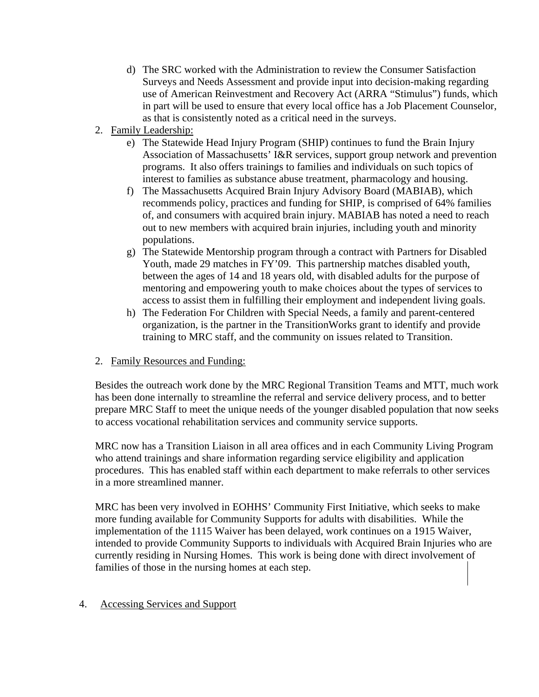- d) The SRC worked with the Administration to review the Consumer Satisfaction Surveys and Needs Assessment and provide input into decision-making regarding use of American Reinvestment and Recovery Act (ARRA "Stimulus") funds, which in part will be used to ensure that every local office has a Job Placement Counselor, as that is consistently noted as a critical need in the surveys.
- 2. Family Leadership:
	- e) The Statewide Head Injury Program (SHIP) continues to fund the Brain Injury Association of Massachusetts' I&R services, support group network and prevention programs. It also offers trainings to families and individuals on such topics of interest to families as substance abuse treatment, pharmacology and housing.
	- f) The Massachusetts Acquired Brain Injury Advisory Board (MABIAB), which recommends policy, practices and funding for SHIP, is comprised of 64% families of, and consumers with acquired brain injury. MABIAB has noted a need to reach out to new members with acquired brain injuries, including youth and minority populations.
	- g) The Statewide Mentorship program through a contract with Partners for Disabled Youth, made 29 matches in FY'09. This partnership matches disabled youth, between the ages of 14 and 18 years old, with disabled adults for the purpose of mentoring and empowering youth to make choices about the types of services to access to assist them in fulfilling their employment and independent living goals.
	- h) The Federation For Children with Special Needs, a family and parent-centered organization, is the partner in the TransitionWorks grant to identify and provide training to MRC staff, and the community on issues related to Transition.

## 2. Family Resources and Funding:

Besides the outreach work done by the MRC Regional Transition Teams and MTT, much work has been done internally to streamline the referral and service delivery process, and to better prepare MRC Staff to meet the unique needs of the younger disabled population that now seeks to access vocational rehabilitation services and community service supports.

MRC now has a Transition Liaison in all area offices and in each Community Living Program who attend trainings and share information regarding service eligibility and application procedures. This has enabled staff within each department to make referrals to other services in a more streamlined manner.

MRC has been very involved in EOHHS' Community First Initiative, which seeks to make more funding available for Community Supports for adults with disabilities. While the implementation of the 1115 Waiver has been delayed, work continues on a 1915 Waiver, intended to provide Community Supports to individuals with Acquired Brain Injuries who are currently residing in Nursing Homes. This work is being done with direct involvement of families of those in the nursing homes at each step.

#### 4. Accessing Services and Support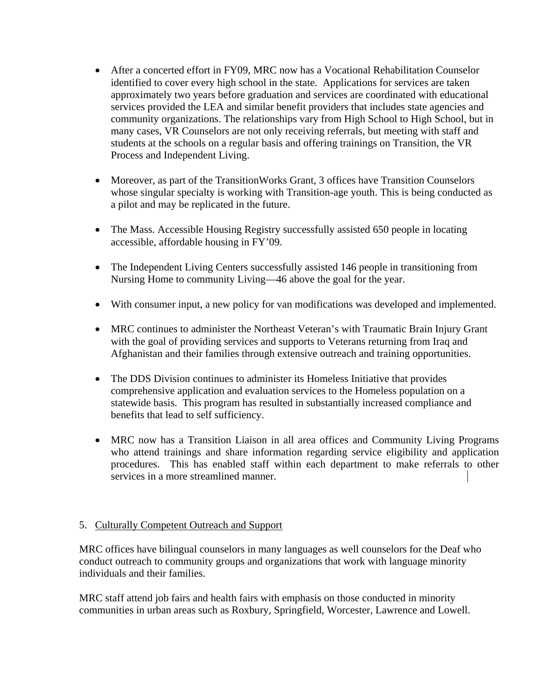- After a concerted effort in FY09, MRC now has a Vocational Rehabilitation Counselor identified to cover every high school in the state. Applications for services are taken approximately two years before graduation and services are coordinated with educational services provided the LEA and similar benefit providers that includes state agencies and community organizations. The relationships vary from High School to High School, but in many cases, VR Counselors are not only receiving referrals, but meeting with staff and students at the schools on a regular basis and offering trainings on Transition, the VR Process and Independent Living.
- Moreover, as part of the TransitionWorks Grant, 3 offices have Transition Counselors whose singular specialty is working with Transition-age youth. This is being conducted as a pilot and may be replicated in the future.
- The Mass. Accessible Housing Registry successfully assisted 650 people in locating accessible, affordable housing in FY'09.
- The Independent Living Centers successfully assisted 146 people in transitioning from Nursing Home to community Living—46 above the goal for the year.
- With consumer input, a new policy for van modifications was developed and implemented.
- MRC continues to administer the Northeast Veteran's with Traumatic Brain Injury Grant with the goal of providing services and supports to Veterans returning from Iraq and Afghanistan and their families through extensive outreach and training opportunities.
- The DDS Division continues to administer its Homeless Initiative that provides comprehensive application and evaluation services to the Homeless population on a statewide basis. This program has resulted in substantially increased compliance and benefits that lead to self sufficiency.
- MRC now has a Transition Liaison in all area offices and Community Living Programs who attend trainings and share information regarding service eligibility and application procedures. This has enabled staff within each department to make referrals to other services in a more streamlined manner.

## 5. Culturally Competent Outreach and Support

MRC offices have bilingual counselors in many languages as well counselors for the Deaf who conduct outreach to community groups and organizations that work with language minority individuals and their families.

MRC staff attend job fairs and health fairs with emphasis on those conducted in minority communities in urban areas such as Roxbury, Springfield, Worcester, Lawrence and Lowell.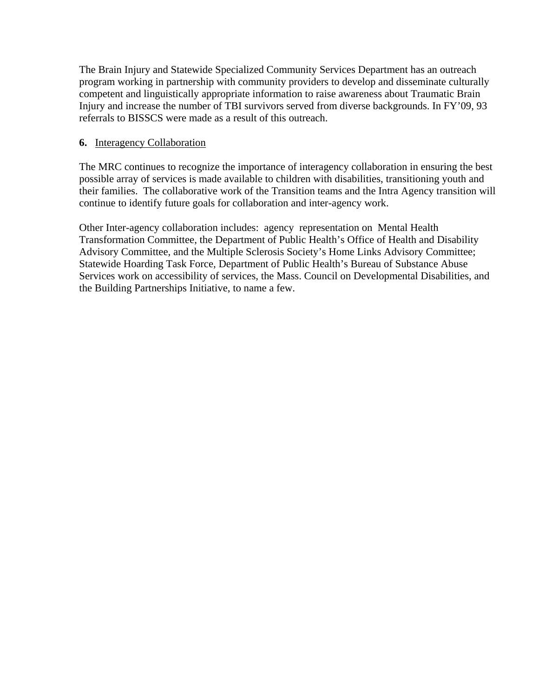The Brain Injury and Statewide Specialized Community Services Department has an outreach program working in partnership with community providers to develop and disseminate culturally competent and linguistically appropriate information to raise awareness about Traumatic Brain Injury and increase the number of TBI survivors served from diverse backgrounds. In FY'09, 93 referrals to BISSCS were made as a result of this outreach.

#### **6.** Interagency Collaboration

The MRC continues to recognize the importance of interagency collaboration in ensuring the best possible array of services is made available to children with disabilities, transitioning youth and their families. The collaborative work of the Transition teams and the Intra Agency transition will continue to identify future goals for collaboration and inter-agency work.

Other Inter-agency collaboration includes: agency representation on Mental Health Transformation Committee, the Department of Public Health's Office of Health and Disability Advisory Committee, and the Multiple Sclerosis Society's Home Links Advisory Committee; Statewide Hoarding Task Force, Department of Public Health's Bureau of Substance Abuse Services work on accessibility of services, the Mass. Council on Developmental Disabilities, and the Building Partnerships Initiative, to name a few.